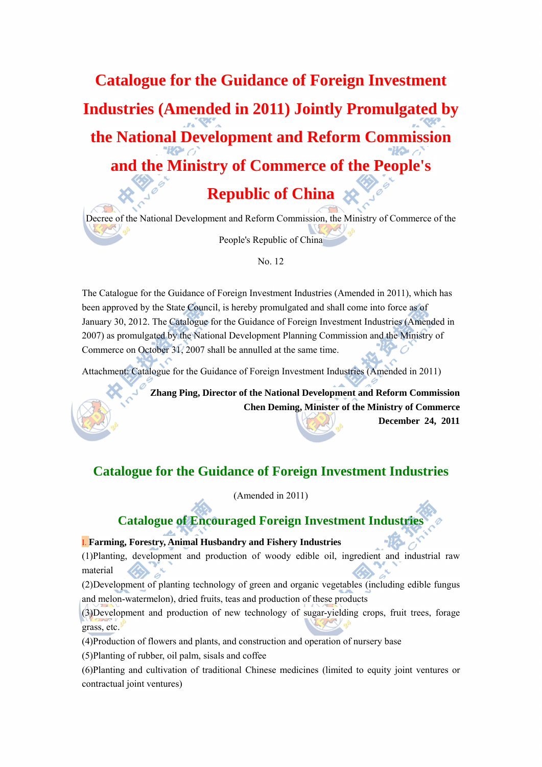# **Catalogue for the Guidance of Foreign Investment Industries (Amended in 2011) Jointly Promulgated by the National Development and Reform Commission and the Ministry of Commerce of the People's**

**Republic of China** 

Decree of the National Development and Reform Commission, the Ministry of Commerce of the People's Republic of China

No. 12

The Catalogue for the Guidance of Foreign Investment Industries (Amended in 2011), which has been approved by the State Council, is hereby promulgated and shall come into force as of January 30, 2012. The Catalogue for the Guidance of Foreign Investment Industries (Amended in 2007) as promulgated by the National Development Planning Commission and the Ministry of Commerce on October 31, 2007 shall be annulled at the same time.

Attachment: Catalogue for the Guidance of Foreign Investment Industries (Amended in 2011)

**Zhang Ping, Director of the National Development and Reform Commission Chen Deming, Minister of the Ministry of Commerce December 24, 2011**

**Catalogue for the Guidance of Foreign Investment Industries** 

(Amended in 2011)

# **Catalogue of Encouraged Foreign Investment Industries**

## I. **Farming, Forestry, Animal Husbandry and Fishery Industries**

(1)Planting, development and production of woody edible oil, ingredient and industrial raw material

(2)Development of planting technology of green and organic vegetables (including edible fungus and melon-watermelon), dried fruits, teas and production of these products

(3)Development and production of new technology of sugar-yielding crops, fruit trees, forage grass, etc.

(4)Production of flowers and plants, and construction and operation of nursery base

(5)Planting of rubber, oil palm, sisals and coffee

(6)Planting and cultivation of traditional Chinese medicines (limited to equity joint ventures or contractual joint ventures)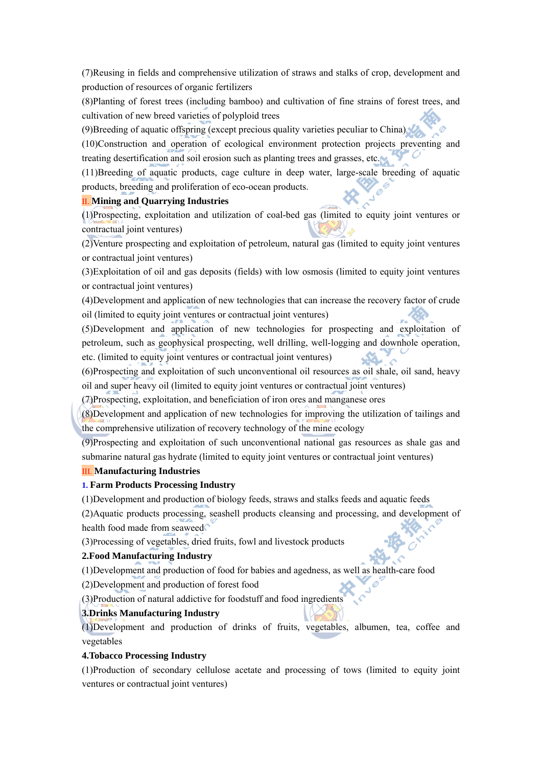(7)Reusing in fields and comprehensive utilization of straws and stalks of crop, development and production of resources of organic fertilizers

(8)Planting of forest trees (including bamboo) and cultivation of fine strains of forest trees, and cultivation of new breed varieties of polyploid trees

(9)Breeding of aquatic offspring (except precious quality varieties peculiar to China)

(10)Construction and operation of ecological environment protection projects preventing and treating desertification and soil erosion such as planting trees and grasses, etc.

(11)Breeding of aquatic products, cage culture in deep water, large-scale breeding of aquatic products, breeding and proliferation of eco-ocean products.

## II. **Mining and Quarrying Industries**

(1)Prospecting, exploitation and utilization of coal-bed gas (limited to equity joint ventures or contractual joint ventures)

(2)Venture prospecting and exploitation of petroleum, natural gas (limited to equity joint ventures or contractual joint ventures)

(3)Exploitation of oil and gas deposits (fields) with low osmosis (limited to equity joint ventures or contractual joint ventures)

(4)Development and application of new technologies that can increase the recovery factor of crude oil (limited to equity joint ventures or contractual joint ventures)

(5)Development and application of new technologies for prospecting and exploitation of petroleum, such as geophysical prospecting, well drilling, well-logging and downhole operation, etc. (limited to equity joint ventures or contractual joint ventures)

(6)Prospecting and exploitation of such unconventional oil resources as oil shale, oil sand, heavy oil and super heavy oil (limited to equity joint ventures or contractual joint ventures)

(7)Prospecting, exploitation, and beneficiation of iron ores and manganese ores

(8)Development and application of new technologies for improving the utilization of tailings and the comprehensive utilization of recovery technology of the mine ecology

(9)Prospecting and exploitation of such unconventional national gas resources as shale gas and submarine natural gas hydrate (limited to equity joint ventures or contractual joint ventures)

#### III. **Manufacturing Industries**

## **1. Farm Products Processing Industry**

(1)Development and production of biology feeds, straws and stalks feeds and aquatic feeds

(2)Aquatic products processing, seashell products cleansing and processing, and development of health food made from seaweed

(3)Processing of vegetables, dried fruits, fowl and livestock products

## **2.Food Manufacturing Industry**

(1)Development and production of food for babies and agedness, as well as health-care food

(2)Development and production of forest food

(3)Production of natural addictive for foodstuff and food ingredients

## **3.Drinks Manufacturing Industry**

(1)Development and production of drinks of fruits, vegetables, albumen, tea, coffee and vegetables

## **4.Tobacco Processing Industry**

(1)Production of secondary cellulose acetate and processing of tows (limited to equity joint ventures or contractual joint ventures)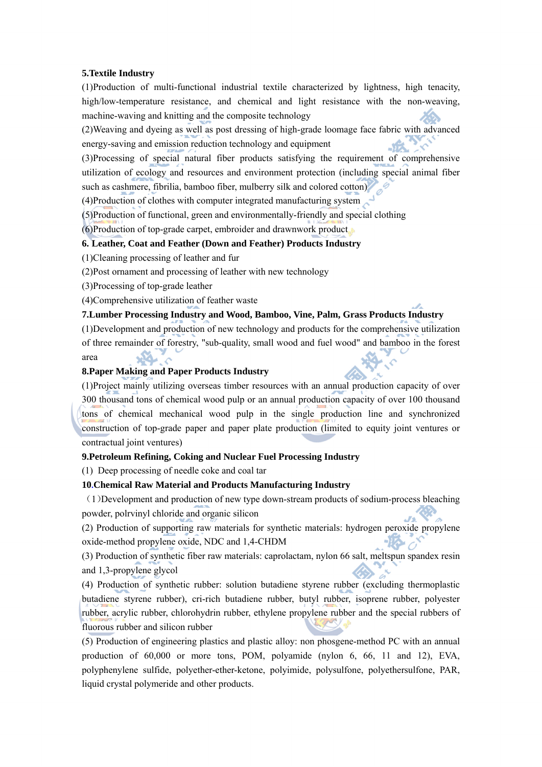#### **5.Textile Industry**

(1)Production of multi-functional industrial textile characterized by lightness, high tenacity, high/low-temperature resistance, and chemical and light resistance with the non-weaving, machine-waving and knitting and the composite technology

(2)Weaving and dyeing as well as post dressing of high-grade loomage face fabric with advanced energy-saving and emission reduction technology and equipment

(3)Processing of special natural fiber products satisfying the requirement of comprehensive utilization of ecology and resources and environment protection (including special animal fiber such as cashmere, fibrilia, bamboo fiber, mulberry silk and colored cotton)

(4)Production of clothes with computer integrated manufacturing system

(5)Production of functional, green and environmentally-friendly and special clothing

(6)Production of top-grade carpet, embroider and drawnwork product

## **6. Leather, Coat and Feather (Down and Feather) Products Industry**

(1)Cleaning processing of leather and fur

(2)Post ornament and processing of leather with new technology

(3)Processing of top-grade leather

(4)Comprehensive utilization of feather waste

## **7.Lumber Processing Industry and Wood, Bamboo, Vine, Palm, Grass Products Industry**

(1)Development and production of new technology and products for the comprehensive utilization of three remainder of forestry, "sub-quality, small wood and fuel wood" and bamboo in the forest area

## **8.Paper Making and Paper Products Industry**

(1)Project mainly utilizing overseas timber resources with an annual production capacity of over 300 thousand tons of chemical wood pulp or an annual production capacity of over 100 thousand tons of chemical mechanical wood pulp in the single production line and synchronized construction of top-grade paper and paper plate production (limited to equity joint ventures or contractual joint ventures)

#### **9.Petroleum Refining, Coking and Nuclear Fuel Processing Industry**

(1) Deep processing of needle coke and coal tar

## **10.Chemical Raw Material and Products Manufacturing Industry**

(1)Development and production of new type down-stream products of sodium-process bleaching powder, polrvinyl chloride and organic silicon

(2) Production of supporting raw materials for synthetic materials: hydrogen peroxide propylene oxide-method propylene oxide, NDC and 1,4-CHDM

(3) Production of synthetic fiber raw materials: caprolactam, nylon 66 salt, meltspun spandex resin and 1,3-propylene glycol

(4) Production of synthetic rubber: solution butadiene styrene rubber (excluding thermoplastic butadiene styrene rubber), cri-rich butadiene rubber, butyl rubber, isoprene rubber, polyester rubber, acrylic rubber, chlorohydrin rubber, ethylene propylene rubber and the special rubbers of fluorous rubber and silicon rubber

(5) Production of engineering plastics and plastic alloy: non phosgene-method PC with an annual production of 60,000 or more tons, POM, polyamide (nylon 6, 66, 11 and 12), EVA, polyphenylene sulfide, polyether-ether-ketone, polyimide, polysulfone, polyethersulfone, PAR, liquid crystal polymeride and other products.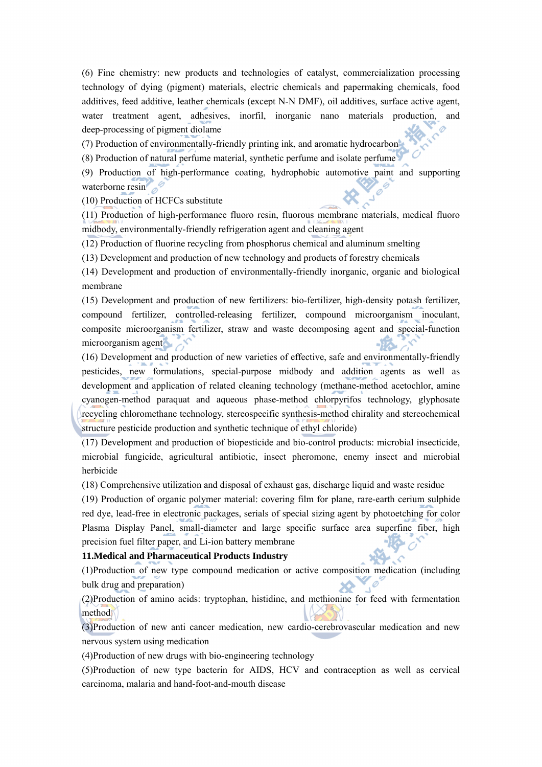(6) Fine chemistry: new products and technologies of catalyst, commercialization processing technology of dying (pigment) materials, electric chemicals and papermaking chemicals, food additives, feed additive, leather chemicals (except N-N DMF), oil additives, surface active agent, water treatment agent, adhesives, inorfil, inorganic nano materials production, and deep-processing of pigment diolame

(7) Production of environmentally-friendly printing ink, and aromatic hydrocarbon

(8) Production of natural perfume material, synthetic perfume and isolate perfume

(9) Production of high-performance coating, hydrophobic automotive paint and supporting waterborne resin

(10) Production of HCFCs substitute

(11) Production of high-performance fluoro resin, fluorous membrane materials, medical fluoro midbody, environmentally-friendly refrigeration agent and cleaning agent

(12) Production of fluorine recycling from phosphorus chemical and aluminum smelting

(13) Development and production of new technology and products of forestry chemicals

(14) Development and production of environmentally-friendly inorganic, organic and biological membrane

(15) Development and production of new fertilizers: bio-fertilizer, high-density potash fertilizer, compound fertilizer, controlled-releasing fertilizer, compound microorganism inoculant, composite microorganism fertilizer, straw and waste decomposing agent and special-function microorganism agent

(16) Development and production of new varieties of effective, safe and environmentally-friendly pesticides, new formulations, special-purpose midbody and addition agents as well as development and application of related cleaning technology (methane-method acetochlor, amine cyanogen-method paraquat and aqueous phase-method chlorpyrifos technology, glyphosate recycling chloromethane technology, stereospecific synthesis-method chirality and stereochemical structure pesticide production and synthetic technique of ethyl chloride)

(17) Development and production of biopesticide and bio-control products: microbial insecticide, microbial fungicide, agricultural antibiotic, insect pheromone, enemy insect and microbial herbicide

(18) Comprehensive utilization and disposal of exhaust gas, discharge liquid and waste residue

(19) Production of organic polymer material: covering film for plane, rare-earth cerium sulphide red dye, lead-free in electronic packages, serials of special sizing agent by photoetching for color Plasma Display Panel, small-diameter and large specific surface area superfine fiber, high precision fuel filter paper, and Li-ion battery membrane

#### **11.Medical and Pharmaceutical Products Industry**

(1)Production of new type compound medication or active composition medication (including bulk drug and preparation)

(2)Production of amino acids: tryptophan, histidine, and methionine for feed with fermentation method

(3)Production of new anti cancer medication, new cardio-cerebrovascular medication and new nervous system using medication

(4)Production of new drugs with bio-engineering technology

(5)Production of new type bacterin for AIDS, HCV and contraception as well as cervical carcinoma, malaria and hand-foot-and-mouth disease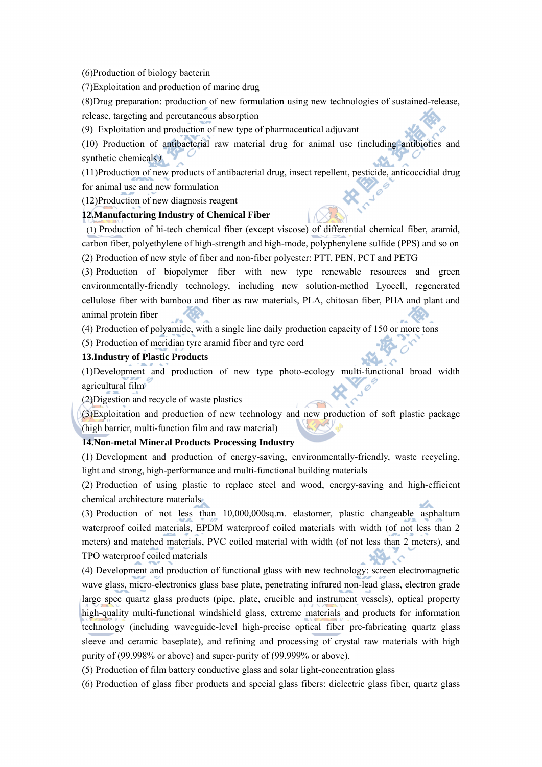(6)Production of biology bacterin

(7)Exploitation and production of marine drug

(8)Drug preparation: production of new formulation using new technologies of sustained-release, release, targeting and percutaneous absorption

(9) Exploitation and production of new type of pharmaceutical adjuvant

(10) Production of antibacterial raw material drug for animal use (including antibiotics and synthetic chemicals)

(11)Production of new products of antibacterial drug, insect repellent, pesticide, anticoccidial drug for animal use and new formulation

(12)Production of new diagnosis reagent

## **12.Manufacturing Industry of Chemical Fiber**

(1) Production of hi-tech chemical fiber (except viscose) of differential chemical fiber, aramid, carbon fiber, polyethylene of high-strength and high-mode, polyphenylene sulfide (PPS) and so on (2) Production of new style of fiber and non-fiber polyester: PTT, PEN, PCT and PETG

(3) Production of biopolymer fiber with new type renewable resources and green environmentally-friendly technology, including new solution-method Lyocell, regenerated cellulose fiber with bamboo and fiber as raw materials, PLA, chitosan fiber, PHA and plant and animal protein fiber

(4) Production of polyamide, with a single line daily production capacity of 150 or more tons

(5) Production of meridian tyre aramid fiber and tyre cord

#### **13.Industry of Plastic Products**

(1)Development and production of new type photo-ecology multi-functional broad width agricultural film

(2)Digestion and recycle of waste plastics

(3)Exploitation and production of new technology and new production of soft plastic package (high barrier, multi-function film and raw material)

## **14.Non-metal Mineral Products Processing Industry**

(1) Development and production of energy-saving, environmentally-friendly, waste recycling, light and strong, high-performance and multi-functional building materials

(2) Production of using plastic to replace steel and wood, energy-saving and high-efficient chemical architecture materials

(3) Production of not less than 10,000,000sq.m. elastomer, plastic changeable asphaltum waterproof coiled materials, EPDM waterproof coiled materials with width (of not less than 2 meters) and matched materials, PVC coiled material with width (of not less than 2 meters), and TPO waterproof coiled materials

(4) Development and production of functional glass with new technology: screen electromagnetic wave glass, micro-electronics glass base plate, penetrating infrared non-lead glass, electron grade large spec quartz glass products (pipe, plate, crucible and instrument vessels), optical property high-quality multi-functional windshield glass, extreme materials and products for information technology (including waveguide-level high-precise optical fiber pre-fabricating quartz glass sleeve and ceramic baseplate), and refining and processing of crystal raw materials with high purity of (99.998% or above) and super-purity of (99.999% or above).

(5) Production of film battery conductive glass and solar light-concentration glass

(6) Production of glass fiber products and special glass fibers: dielectric glass fiber, quartz glass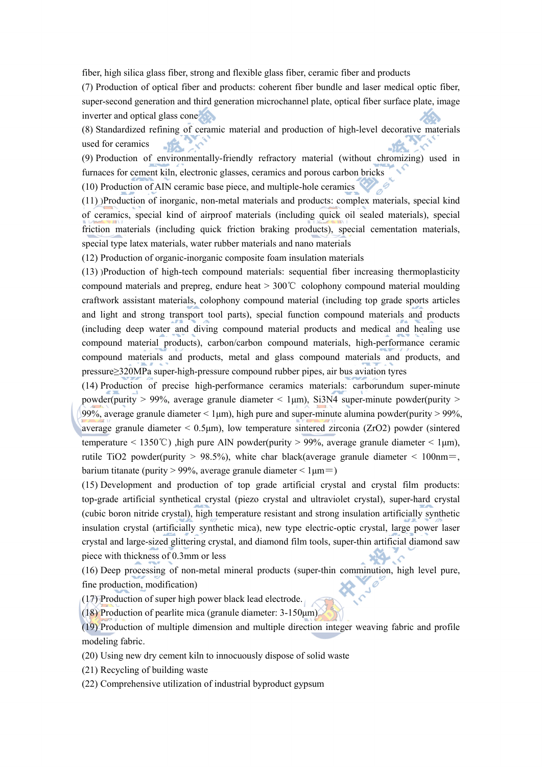fiber, high silica glass fiber, strong and flexible glass fiber, ceramic fiber and products

(7) Production of optical fiber and products: coherent fiber bundle and laser medical optic fiber, super-second generation and third generation microchannel plate, optical fiber surface plate, image inverter and optical glass cone

(8) Standardized refining of ceramic material and production of high-level decorative materials used for ceramics  $\sim$ 

(9) Production of environmentally-friendly refractory material (without chromizing) used in furnaces for cement kiln, electronic glasses, ceramics and porous carbon bricks

(10) Production of AIN ceramic base piece, and multiple-hole ceramics

(11) )Production of inorganic, non-metal materials and products: complex materials, special kind of ceramics, special kind of airproof materials (including quick oil sealed materials), special friction materials (including quick friction braking products), special cementation materials, special type latex materials, water rubber materials and nano materials

(12) Production of organic-inorganic composite foam insulation materials

(13) )Production of high-tech compound materials: sequential fiber increasing thermoplasticity compound materials and prepreg, endure heat  $> 300^{\circ}$  colophony compound material moulding craftwork assistant materials, colophony compound material (including top grade sports articles and light and strong transport tool parts), special function compound materials and products (including deep water and diving compound material products and medical and healing use compound material products), carbon/carbon compound materials, high-performance ceramic compound materials and products, metal and glass compound materials and products, and pressure≥320MPa super-high-pressure compound rubber pipes, air bus aviation tyres

(14) Production of precise high-performance ceramics materials: carborundum super-minute powder(purity > 99%, average granule diameter < 1 $\mu$ m), Si3N4 super-minute powder(purity > 99%, average granule diameter  $\langle 1 \mu m \rangle$ , high pure and super-minute alumina powder(purity  $> 99\%$ , average granule diameter  $\leq 0.5 \mu m$ ), low temperature sintered zirconia (ZrO2) powder (sintered temperature < 1350°C), high pure AlN powder(purity > 99%, average granule diameter < 1 $\mu$ m), rutile TiO2 powder(purity  $> 98.5\%$ ), white char black(average granule diameter  $< 100$ nm=, barium titanate (purity > 99%, average granule diameter <  $1\mu$ m = )

(15) Development and production of top grade artificial crystal and crystal film products: top-grade artificial synthetical crystal (piezo crystal and ultraviolet crystal), super-hard crystal (cubic boron nitride crystal), high temperature resistant and strong insulation artificially synthetic insulation crystal (artificially synthetic mica), new type electric-optic crystal, large power laser crystal and large-sized glittering crystal, and diamond film tools, super-thin artificial diamond saw piece with thickness of 0.3mm or less

(16) Deep processing of non-metal mineral products (super-thin comminution, high level pure, fine production, modification)

(17) Production of super high power black lead electrode.

(18) Production of pearlite mica (granule diameter: 3-150μm)

(19) Production of multiple dimension and multiple direction integer weaving fabric and profile modeling fabric.

(20) Using new dry cement kiln to innocuously dispose of solid waste

(21) Recycling of building waste

(22) Comprehensive utilization of industrial byproduct gypsum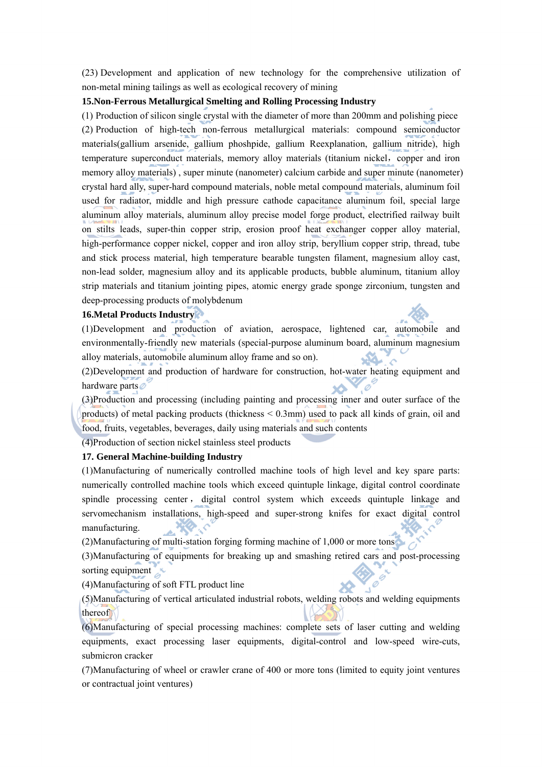(23) Development and application of new technology for the comprehensive utilization of non-metal mining tailings as well as ecological recovery of mining

## **15.Non-Ferrous Metallurgical Smelting and Rolling Processing Industry**

(1) Production of silicon single crystal with the diameter of more than 200mm and polishing piece (2) Production of high-tech non-ferrous metallurgical materials: compound semiconductor materials(gallium arsenide, gallium phoshpide, gallium Reexplanation, gallium nitride), high temperature superconduct materials, memory alloy materials (titanium nickel, copper and iron memory alloy materials) , super minute (nanometer) calcium carbide and super minute (nanometer) crystal hard ally, super-hard compound materials, noble metal compound materials, aluminum foil used for radiator, middle and high pressure cathode capacitance aluminum foil, special large aluminum alloy materials, aluminum alloy precise model forge product, electrified railway built on stilts leads, super-thin copper strip, erosion proof heat exchanger copper alloy material, high-performance copper nickel, copper and iron alloy strip, beryllium copper strip, thread, tube and stick process material, high temperature bearable tungsten filament, magnesium alloy cast, non-lead solder, magnesium alloy and its applicable products, bubble aluminum, titanium alloy strip materials and titanium jointing pipes, atomic energy grade sponge zirconium, tungsten and deep-processing products of molybdenum

## **16.Metal Products Industry**

(1)Development and production of aviation, aerospace, lightened car, automobile and environmentally-friendly new materials (special-purpose aluminum board, aluminum magnesium alloy materials, automobile aluminum alloy frame and so on).

(2)Development and production of hardware for construction, hot-water heating equipment and hardware parts **SA** 

(3)Production and processing (including painting and processing inner and outer surface of the products) of metal packing products (thickness < 0.3mm) used to pack all kinds of grain, oil and food, fruits, vegetables, beverages, daily using materials and such contents

(4)Production of section nickel stainless steel products

#### **17. General Machine-building Industry**

(1)Manufacturing of numerically controlled machine tools of high level and key spare parts: numerically controlled machine tools which exceed quintuple linkage, digital control coordinate spindle processing center , digital control system which exceeds quintuple linkage and servomechanism installations, high-speed and super-strong knifes for exact digital control manufacturing.

(2)Manufacturing of multi-station forging forming machine of 1,000 or more tons

(3)Manufacturing of equipments for breaking up and smashing retired cars and post-processing sorting equipment

 $\mathscr{O}$ 

(4)Manufacturing of soft FTL product line

(5)Manufacturing of vertical articulated industrial robots, welding robots and welding equipments thereof

(6)Manufacturing of special processing machines: complete sets of laser cutting and welding equipments, exact processing laser equipments, digital-control and low-speed wire-cuts, submicron cracker

(7)Manufacturing of wheel or crawler crane of 400 or more tons (limited to equity joint ventures or contractual joint ventures)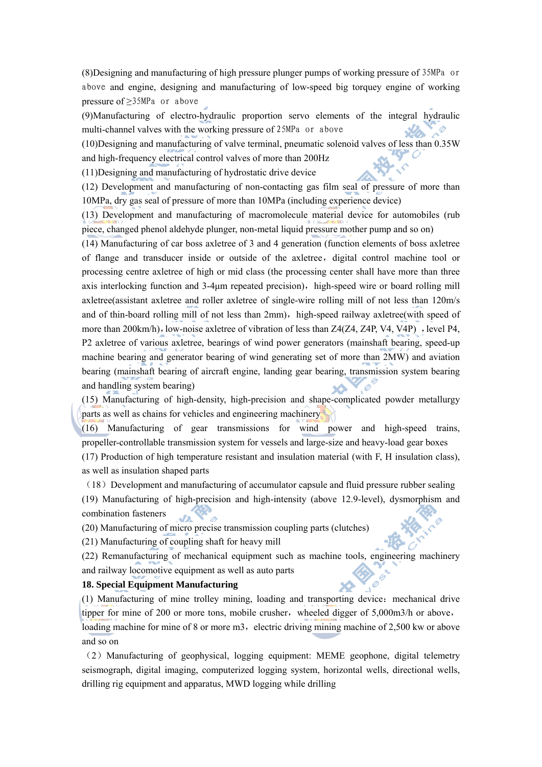(8)Designing and manufacturing of high pressure plunger pumps of working pressure of 35MPa or above and engine, designing and manufacturing of low-speed big torquey engine of working pressure of ≥35MPa or above

(9)Manufacturing of electro-hydraulic proportion servo elements of the integral hydraulic multi-channel valves with the working pressure of 25MPa or above

(10)Designing and manufacturing of valve terminal, pneumatic solenoid valves of less than 0.35W and high-frequency electrical control valves of more than 200Hz

(11)Designing and manufacturing of hydrostatic drive device

(12) Development and manufacturing of non-contacting gas film seal of pressure of more than 10MPa, dry gas seal of pressure of more than 10MPa (including experience device)

(13) Development and manufacturing of macromolecule material device for automobiles (rub piece, changed phenol aldehyde plunger, non-metal liquid pressure mother pump and so on)

(14) Manufacturing of car boss axletree of 3 and 4 generation (function elements of boss axletree of flange and transducer inside or outside of the axletree, digital control machine tool or processing centre axletree of high or mid class (the processing center shall have more than three axis interlocking function and 3-4um repeated precision), high-speed wire or board rolling mill axletree(assistant axletree and roller axletree of single-wire rolling mill of not less than 120m/s and of thin-board rolling mill of not less than 2mm), high-speed railway axletree(with speed of more than 200km/h), low-noise axletree of vibration of less than Z4(Z4, Z4P, V4, V4P), level P4, P2 axletree of various axletree, bearings of wind power generators (mainshaft bearing, speed-up machine bearing and generator bearing of wind generating set of more than 2MW) and aviation bearing (mainshaft bearing of aircraft engine, landing gear bearing, transmission system bearing and handling system bearing)

(15) Manufacturing of high-density, high-precision and shape-complicated powder metallurgy parts as well as chains for vehicles and engineering machinery

(16) Manufacturing of gear transmissions for wind power and high-speed trains, propeller-controllable transmission system for vessels and large-size and heavy-load gear boxes

(17) Production of high temperature resistant and insulation material (with F, H insulation class), as well as insulation shaped parts

 $(18)$  Development and manufacturing of accumulator capsule and fluid pressure rubber sealing

(19) Manufacturing of high-precision and high-intensity (above 12.9-level), dysmorphism and combination fasteners

(20) Manufacturing of micro precise transmission coupling parts (clutches)

(21) Manufacturing of coupling shaft for heavy mill

(22) Remanufacturing of mechanical equipment such as machine tools, engineering machinery and railway locomotive equipment as well as auto parts

## **18. Special Equipment Manufacturing**

(1) Manufacturing of mine trolley mining, loading and transporting device:mechanical drive tipper for mine of 200 or more tons, mobile crusher, wheeled digger of  $5,000$ m3/h or above, loading machine for mine of 8 or more  $m3$ , electric driving mining machine of 2,500 kw or above and so on

(2)Manufacturing of geophysical, logging equipment: MEME geophone, digital telemetry seismograph, digital imaging, computerized logging system, horizontal wells, directional wells, drilling rig equipment and apparatus, MWD logging while drilling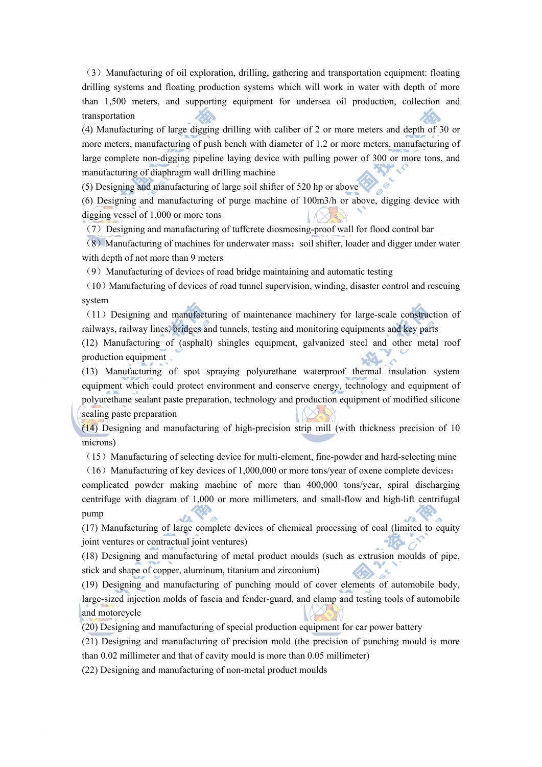(3)Manufacturing of oil exploration, drilling, gathering and transportation equipment: floating drilling systems and floating production systems which will work in water with depth of more than 1,500 meters, and supporting equipment for undersea oil production, collection and transportation

(4) Manufacturing of large digging drilling with caliber of 2 or more meters and depth of 30 or more meters, manufacturing of push bench with diameter of 1.2 or more meters, manufacturing of large complete non-digging pipeline laying device with pulling power of 300 or more tons, and manufacturing of diaphragm wall drilling machine

(5) Designing and manufacturing of large soil shifter of 520 hp or above

(6) Designing and manufacturing of purge machine of 100m3/h or above, digging device with digging vessel of 1,000 or more tons  $\times 76$ 

(7)Designing and manufacturing of tuffcrete diosmosing-proof wall for flood control bar

(8) Manufacturing of machines for underwater mass: soil shifter, loader and digger under water with depth of not more than 9 meters

(9) Manufacturing of devices of road bridge maintaining and automatic testing

 $(10)$  Manufacturing of devices of road tunnel supervision, winding, disaster control and rescuing system

(11)Designing and manufacturing of maintenance machinery for large-scale construction of railways, railway lines, bridges and tunnels, testing and monitoring equipments and key parts

(12) Manufacturing of (asphalt) shingles equipment, galvanized steel and other metal roof production equipment

(13) Manufacturing of spot spraying polyurethane waterproof thermal insulation system equipment which could protect environment and conserve energy, technology and equipment of polyurethane sealant paste preparation, technology and production equipment of modified silicone sealing paste preparation

(14) Designing and manufacturing of high-precision strip mill (with thickness precision of 10 microns)

(15)Manufacturing of selecting device for multi-element, fine-powder and hard-selecting mine

(16) Manufacturing of key devices of 1,000,000 or more tons/year of oxene complete devices: complicated powder making machine of more than 400,000 tons/year, spiral discharging centrifuge with diagram of 1,000 or more millimeters, and small-flow and high-lift centrifugal pump

(17) Manufacturing of large complete devices of chemical processing of coal (limited to equity joint ventures or contractual joint ventures)

(18) Designing and manufacturing of metal product moulds (such as extrusion moulds of pipe, stick and shape of copper, aluminum, titanium and zirconium)

(19) Designing and manufacturing of punching mould of cover elements of automobile body, large-sized injection molds of fascia and fender-guard, and clamp and testing tools of automobile and motorcycle

(20) Designing and manufacturing of special production equipment for car power battery

(21) Designing and manufacturing of precision mold (the precision of punching mould is more than 0.02 millimeter and that of cavity mould is more than 0.05 millimeter)

(22) Designing and manufacturing of non-metal product moulds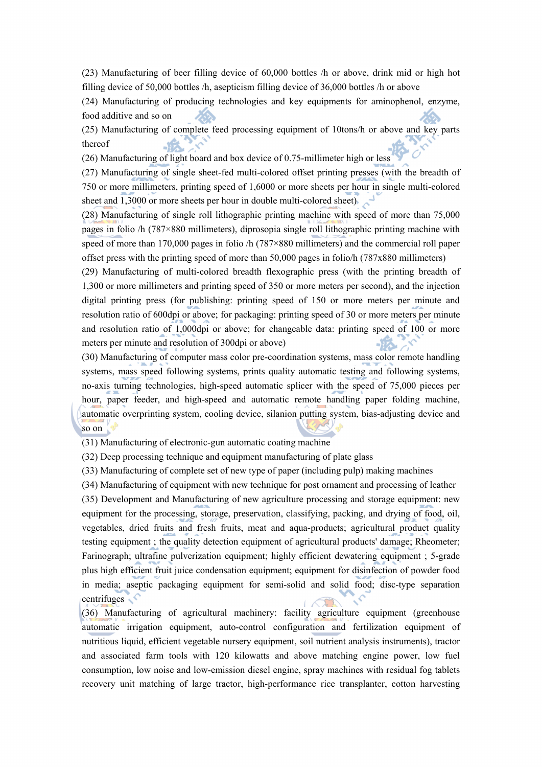(23) Manufacturing of beer filling device of 60,000 bottles /h or above, drink mid or high hot filling device of 50,000 bottles /h, asepticism filling device of 36,000 bottles /h or above

(24) Manufacturing of producing technologies and key equipments for aminophenol, enzyme, food additive and so on

(25) Manufacturing of complete feed processing equipment of 10tons/h or above and key parts thereof

(26) Manufacturing of light board and box device of 0.75-millimeter high or less

(27) Manufacturing of single sheet-fed multi-colored offset printing presses (with the breadth of 750 or more millimeters, printing speed of 1,6000 or more sheets per hour in single multi-colored sheet and 1,3000 or more sheets per hour in double multi-colored sheet)

(28) Manufacturing of single roll lithographic printing machine with speed of more than 75,000 pages in folio /h (787×880 millimeters), diprosopia single roll lithographic printing machine with speed of more than 170,000 pages in folio /h (787×880 millimeters) and the commercial roll paper offset press with the printing speed of more than 50,000 pages in folio/h (787x880 millimeters)

(29) Manufacturing of multi-colored breadth flexographic press (with the printing breadth of 1,300 or more millimeters and printing speed of 350 or more meters per second), and the injection digital printing press (for publishing: printing speed of 150 or more meters per minute and resolution ratio of 600dpi or above; for packaging: printing speed of 30 or more meters per minute and resolution ratio of 1,000dpi or above; for changeable data: printing speed of 100 or more meters per minute and resolution of 300dpi or above)

(30) Manufacturing of computer mass color pre-coordination systems, mass color remote handling systems, mass speed following systems, prints quality automatic testing and following systems, no-axis turning technologies, high-speed automatic splicer with the speed of 75,000 pieces per hour, paper feeder, and high-speed and automatic remote handling paper folding machine, automatic overprinting system, cooling device, silanion putting system, bias-adjusting device and so on

(31) Manufacturing of electronic-gun automatic coating machine

(32) Deep processing technique and equipment manufacturing of plate glass

(33) Manufacturing of complete set of new type of paper (including pulp) making machines

(34) Manufacturing of equipment with new technique for post ornament and processing of leather

(35) Development and Manufacturing of new agriculture processing and storage equipment: new equipment for the processing, storage, preservation, classifying, packing, and drying of food, oil, vegetables, dried fruits and fresh fruits, meat and aqua-products; agricultural product quality testing equipment ; the quality detection equipment of agricultural products' damage; Rheometer; Farinograph; ultrafine pulverization equipment; highly efficient dewatering equipment ; 5-grade plus high efficient fruit juice condensation equipment; equipment for disinfection of powder food in media; aseptic packaging equipment for semi-solid and solid food; disc-type separation centrifuges

(36) Manufacturing of agricultural machinery: facility agriculture equipment (greenhouse automatic irrigation equipment, auto-control configuration and fertilization equipment of nutritious liquid, efficient vegetable nursery equipment, soil nutrient analysis instruments), tractor and associated farm tools with 120 kilowatts and above matching engine power, low fuel consumption, low noise and low-emission diesel engine, spray machines with residual fog tablets recovery unit matching of large tractor, high-performance rice transplanter, cotton harvesting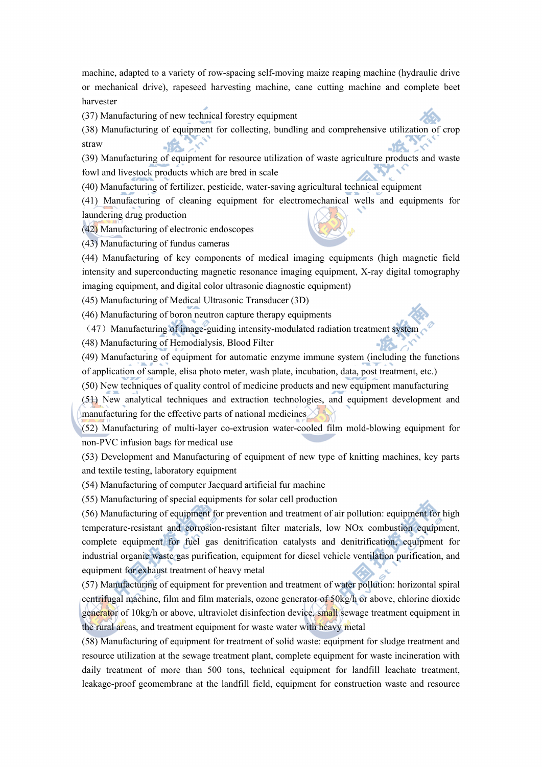machine, adapted to a variety of row-spacing self-moving maize reaping machine (hydraulic drive or mechanical drive), rapeseed harvesting machine, cane cutting machine and complete beet harvester

(37) Manufacturing of new technical forestry equipment

(38) Manufacturing of equipment for collecting, bundling and comprehensive utilization of crop straw

(39) Manufacturing of equipment for resource utilization of waste agriculture products and waste fowl and livestock products which are bred in scale

(40) Manufacturing of fertilizer, pesticide, water-saving agricultural technical equipment

(41) Manufacturing of cleaning equipment for electromechanical wells and equipments for laundering drug production

(42) Manufacturing of electronic endoscopes

(43) Manufacturing of fundus cameras

(44) Manufacturing of key components of medical imaging equipments (high magnetic field intensity and superconducting magnetic resonance imaging equipment, X-ray digital tomography imaging equipment, and digital color ultrasonic diagnostic equipment)

(45) Manufacturing of Medical Ultrasonic Transducer (3D)

(46) Manufacturing of boron neutron capture therapy equipments

(47) Manufacturing of image-guiding intensity-modulated radiation treatment system

(48) Manufacturing of Hemodialysis, Blood Filter

(49) Manufacturing of equipment for automatic enzyme immune system (including the functions of application of sample, elisa photo meter, wash plate, incubation, data, post treatment, etc.)

(50) New techniques of quality control of medicine products and new equipment manufacturing

(51) New analytical techniques and extraction technologies, and equipment development and manufacturing for the effective parts of national medicines

(52) Manufacturing of multi-layer co-extrusion water-cooled film mold-blowing equipment for non-PVC infusion bags for medical use

(53) Development and Manufacturing of equipment of new type of knitting machines, key parts and textile testing, laboratory equipment

(54) Manufacturing of computer Jacquard artificial fur machine

(55) Manufacturing of special equipments for solar cell production

(56) Manufacturing of equipment for prevention and treatment of air pollution: equipment for high temperature-resistant and corrosion-resistant filter materials, low NOx combustion equipment, complete equipment for fuel gas denitrification catalysts and denitrification, equipment for industrial organic waste gas purification, equipment for diesel vehicle ventilation purification, and equipment for exhaust treatment of heavy metal

(57) Manufacturing of equipment for prevention and treatment of water pollution: horizontal spiral centrifugal machine, film and film materials, ozone generator of 50kg/h or above, chlorine dioxide generator of 10kg/h or above, ultraviolet disinfection device, small sewage treatment equipment in the rural areas, and treatment equipment for waste water with heavy metal

(58) Manufacturing of equipment for treatment of solid waste: equipment for sludge treatment and resource utilization at the sewage treatment plant, complete equipment for waste incineration with daily treatment of more than 500 tons, technical equipment for landfill leachate treatment, leakage-proof geomembrane at the landfill field, equipment for construction waste and resource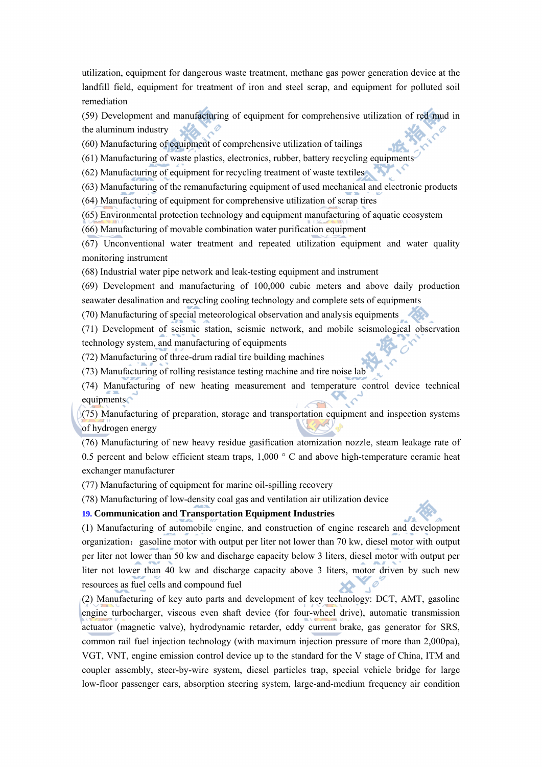utilization, equipment for dangerous waste treatment, methane gas power generation device at the landfill field, equipment for treatment of iron and steel scrap, and equipment for polluted soil remediation

(59) Development and manufacturing of equipment for comprehensive utilization of red mud in the aluminum industry

(60) Manufacturing of equipment of comprehensive utilization of tailings

(61) Manufacturing of waste plastics, electronics, rubber, battery recycling equipments

(62) Manufacturing of equipment for recycling treatment of waste textiles

(63) Manufacturing of the remanufacturing equipment of used mechanical and electronic products

(64) Manufacturing of equipment for comprehensive utilization of scrap tires

(65) Environmental protection technology and equipment manufacturing of aquatic ecosystem

(66) Manufacturing of movable combination water purification equipment

(67) Unconventional water treatment and repeated utilization equipment and water quality monitoring instrument

(68) Industrial water pipe network and leak-testing equipment and instrument

(69) Development and manufacturing of 100,000 cubic meters and above daily production seawater desalination and recycling cooling technology and complete sets of equipments

(70) Manufacturing of special meteorological observation and analysis equipments

(71) Development of seismic station, seismic network, and mobile seismological observation technology system, and manufacturing of equipments

(72) Manufacturing of three-drum radial tire building machines

(73) Manufacturing of rolling resistance testing machine and tire noise lab

(74) Manufacturing of new heating measurement and temperature control device technical equipments

(75) Manufacturing of preparation, storage and transportation equipment and inspection systems of hydrogen energy

(76) Manufacturing of new heavy residue gasification atomization nozzle, steam leakage rate of 0.5 percent and below efficient steam traps, 1,000 ° C and above high-temperature ceramic heat exchanger manufacturer

(77) Manufacturing of equipment for marine oil-spilling recovery

(78) Manufacturing of low-density coal gas and ventilation air utilization device

## **19. Communication and Transportation Equipment Industries**

(1) Manufacturing of automobile engine, and construction of engine research and development organization: gasoline motor with output per liter not lower than 70 kw, diesel motor with output per liter not lower than 50 kw and discharge capacity below 3 liters, diesel motor with output per liter not lower than 40 kw and discharge capacity above 3 liters, motor driven by such new resources as fuel cells and compound fuel

(2) Manufacturing of key auto parts and development of key technology: DCT, AMT, gasoline engine turbocharger, viscous even shaft device (for four-wheel drive), automatic transmission actuator (magnetic valve), hydrodynamic retarder, eddy current brake, gas generator for SRS, common rail fuel injection technology (with maximum injection pressure of more than 2,000pa), VGT, VNT, engine emission control device up to the standard for the V stage of China, ITM and coupler assembly, steer-by-wire system, diesel particles trap, special vehicle bridge for large low-floor passenger cars, absorption steering system, large-and-medium frequency air condition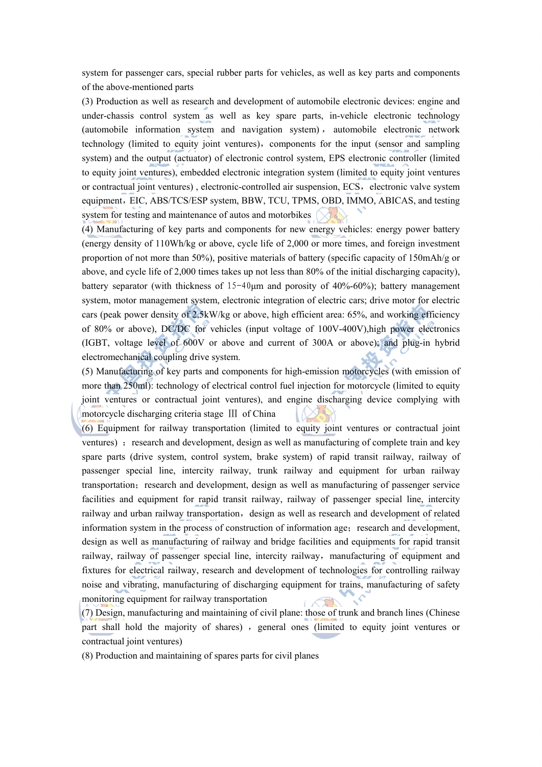system for passenger cars, special rubber parts for vehicles, as well as key parts and components of the above-mentioned parts

(3) Production as well as research and development of automobile electronic devices: engine and under-chassis control system as well as key spare parts, in-vehicle electronic technology (automobile information system and navigation system) , automobile electronic network technology (limited to equity joint ventures), components for the input (sensor and sampling system) and the output (actuator) of electronic control system, EPS electronic controller (limited to equity joint ventures), embedded electronic integration system (limited to equity joint ventures or contractual joint ventures), electronic-controlled air suspension, ECS, electronic valve system equipment, EIC, ABS/TCS/ESP system, BBW, TCU, TPMS, OBD, IMMO, ABICAS, and testing system for testing and maintenance of autos and motorbikes

(4) Manufacturing of key parts and components for new energy vehicles: energy power battery (energy density of 110Wh/kg or above, cycle life of 2,000 or more times, and foreign investment proportion of not more than 50%), positive materials of battery (specific capacity of 150mAh/g or above, and cycle life of 2,000 times takes up not less than 80% of the initial discharging capacity), battery separator (with thickness of  $15-40\mu m$  and porosity of  $40\%$ -60%); battery management system, motor management system, electronic integration of electric cars; drive motor for electric cars (peak power density of 2.5kW/kg or above, high efficient area: 65%, and working efficiency of 80% or above), DC/DC for vehicles (input voltage of 100V-400V),high power electronics (IGBT, voltage level of 600V or above and current of 300A or above); and plug-in hybrid electromechanical coupling drive system.

(5) Manufacturing of key parts and components for high-emission motorcycles (with emission of more than 250ml): technology of electrical control fuel injection for motorcycle (limited to equity joint ventures or contractual joint ventures), and engine discharging device complying with motorcycle discharging criteria stage Ⅲ of China

(6) Equipment for railway transportation (limited to equity joint ventures or contractual joint ventures) : research and development, design as well as manufacturing of complete train and key spare parts (drive system, control system, brake system) of rapid transit railway, railway of passenger special line, intercity railway, trunk railway and equipment for urban railway transportation; research and development, design as well as manufacturing of passenger service facilities and equipment for rapid transit railway, railway of passenger special line, intercity railway and urban railway transportation, design as well as research and development of related information system in the process of construction of information age; research and development, design as well as manufacturing of railway and bridge facilities and equipments for rapid transit railway, railway of passenger special line, intercity railway, manufacturing of equipment and fixtures for electrical railway, research and development of technologies for controlling railway noise and vibrating, manufacturing of discharging equipment for trains, manufacturing of safety monitoring equipment for railway transportation

(7) Design, manufacturing and maintaining of civil plane: those of trunk and branch lines (Chinese part shall hold the majority of shares), general ones (limited to equity joint ventures or contractual joint ventures)

(8) Production and maintaining of spares parts for civil planes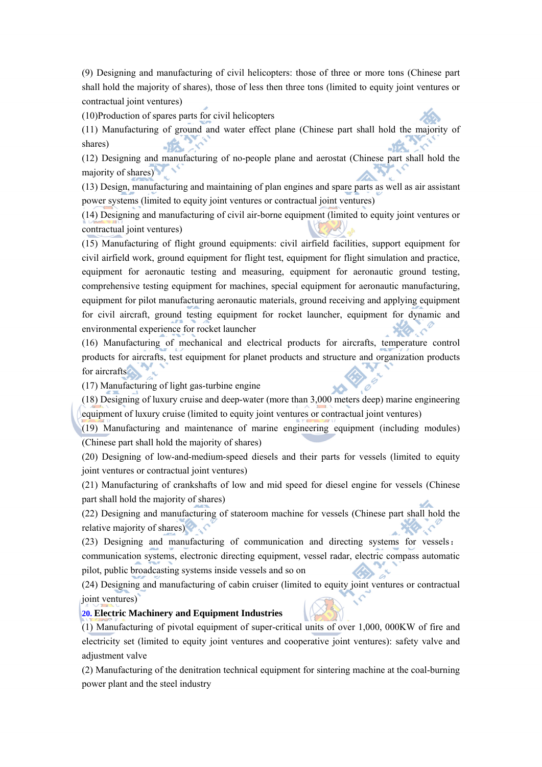(9) Designing and manufacturing of civil helicopters: those of three or more tons (Chinese part shall hold the majority of shares), those of less then three tons (limited to equity joint ventures or contractual joint ventures)

(10)Production of spares parts for civil helicopters

(11) Manufacturing of ground and water effect plane (Chinese part shall hold the majority of shares)

(12) Designing and manufacturing of no-people plane and aerostat (Chinese part shall hold the majority of shares)

(13) Design, manufacturing and maintaining of plan engines and spare parts as well as air assistant power systems (limited to equity joint ventures or contractual joint ventures)

(14) Designing and manufacturing of civil air-borne equipment (limited to equity joint ventures or contractual joint ventures)

(15) Manufacturing of flight ground equipments: civil airfield facilities, support equipment for civil airfield work, ground equipment for flight test, equipment for flight simulation and practice, equipment for aeronautic testing and measuring, equipment for aeronautic ground testing, comprehensive testing equipment for machines, special equipment for aeronautic manufacturing, equipment for pilot manufacturing aeronautic materials, ground receiving and applying equipment for civil aircraft, ground testing equipment for rocket launcher, equipment for dynamic and environmental experience for rocket launcher

(16) Manufacturing of mechanical and electrical products for aircrafts, temperature control products for aircrafts, test equipment for planet products and structure and organization products for aircrafts

(17) Manufacturing of light gas-turbine engine

(18) Designing of luxury cruise and deep-water (more than 3,000 meters deep) marine engineering equipment of luxury cruise (limited to equity joint ventures or contractual joint ventures)

(19) Manufacturing and maintenance of marine engineering equipment (including modules) (Chinese part shall hold the majority of shares)

(20) Designing of low-and-medium-speed diesels and their parts for vessels (limited to equity joint ventures or contractual joint ventures)

(21) Manufacturing of crankshafts of low and mid speed for diesel engine for vessels (Chinese part shall hold the majority of shares)

(22) Designing and manufacturing of stateroom machine for vessels (Chinese part shall hold the relative majority of shares)

(23) Designing and manufacturing of communication and directing systems for vessels: communication systems, electronic directing equipment, vessel radar, electric compass automatic pilot, public broadcasting systems inside vessels and so on

(24) Designing and manufacturing of cabin cruiser (limited to equity joint ventures or contractual joint ventures)

#### **20. Electric Machinery and Equipment Industries**

(1) Manufacturing of pivotal equipment of super-critical units of over 1,000, 000KW of fire and electricity set (limited to equity joint ventures and cooperative joint ventures): safety valve and adjustment valve

(2) Manufacturing of the denitration technical equipment for sintering machine at the coal-burning power plant and the steel industry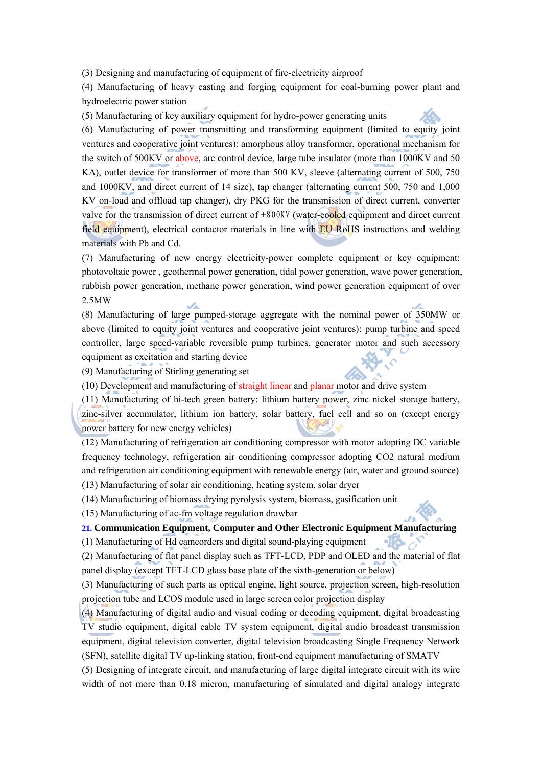(3) Designing and manufacturing of equipment of fire-electricity airproof

(4) Manufacturing of heavy casting and forging equipment for coal-burning power plant and hydroelectric power station

(5) Manufacturing of key auxiliary equipment for hydro-power generating units



-16-0

(6) Manufacturing of power transmitting and transforming equipment (limited to equity joint ventures and cooperative joint ventures): amorphous alloy transformer, operational mechanism for the switch of 500KV or above, arc control device, large tube insulator (more than 1000KV and 50 KA), outlet device for transformer of more than 500 KV, sleeve (alternating current of 500, 750 and 1000KV, and direct current of 14 size), tap changer (alternating current 500, 750 and 1,000 KV on-load and offload tap changer), dry PKG for the transmission of direct current, converter valve for the transmission of direct current of  $\pm 800$ KV (water-cooled equipment and direct current field equipment), electrical contactor materials in line with **EU RoHS** instructions and welding materials with Pb and Cd.

(7) Manufacturing of new energy electricity-power complete equipment or key equipment: photovoltaic power , geothermal power generation, tidal power generation, wave power generation, rubbish power generation, methane power generation, wind power generation equipment of over 2.5MW

(8) Manufacturing of large pumped-storage aggregate with the nominal power of 350MW or above (limited to equity joint ventures and cooperative joint ventures): pump turbine and speed controller, large speed-variable reversible pump turbines, generator motor and such accessory equipment as excitation and starting device

(9) Manufacturing of Stirling generating set

(10) Development and manufacturing of straight linear and planar motor and drive system

(11) Manufacturing of hi-tech green battery: lithium battery power, zinc nickel storage battery, zinc-silver accumulator, lithium ion battery, solar battery, fuel cell and so on (except energy power battery for new energy vehicles)

(12) Manufacturing of refrigeration air conditioning compressor with motor adopting DC variable frequency technology, refrigeration air conditioning compressor adopting CO2 natural medium and refrigeration air conditioning equipment with renewable energy (air, water and ground source)

(13) Manufacturing of solar air conditioning, heating system, solar dryer

(14) Manufacturing of biomass drying pyrolysis system, biomass, gasification unit

(15) Manufacturing of ac-fm voltage regulation drawbar

**21. Communication Equipment, Computer and Other Electronic Equipment Manufacturing** 

(1) Manufacturing of Hd camcorders and digital sound-playing equipment

(2) Manufacturing of flat panel display such as TFT-LCD, PDP and OLED and the material of flat panel display (except TFT-LCD glass base plate of the sixth-generation or below)

(3) Manufacturing of such parts as optical engine, light source, projection screen, high-resolution projection tube and LCOS module used in large screen color projection display

(4) Manufacturing of digital audio and visual coding or decoding equipment, digital broadcasting TV studio equipment, digital cable TV system equipment, digital audio broadcast transmission equipment, digital television converter, digital television broadcasting Single Frequency Network (SFN), satellite digital TV up-linking station, front-end equipment manufacturing of SMATV

(5) Designing of integrate circuit, and manufacturing of large digital integrate circuit with its wire width of not more than 0.18 micron, manufacturing of simulated and digital analogy integrate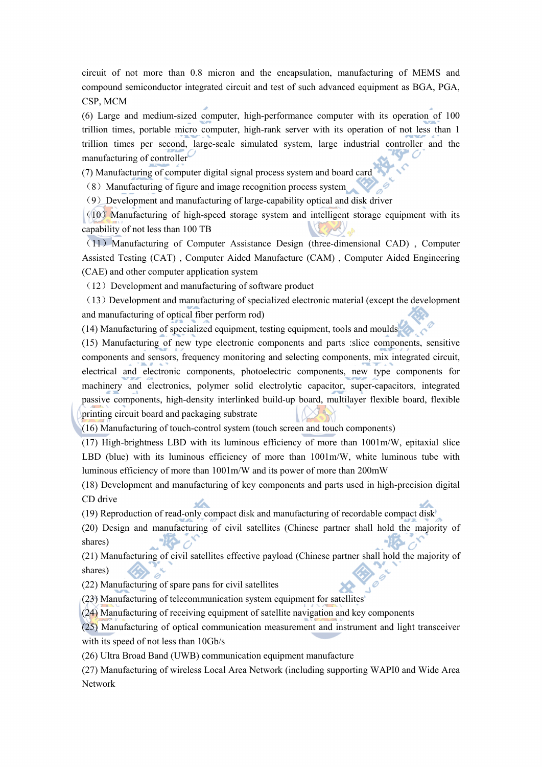circuit of not more than 0.8 micron and the encapsulation, manufacturing of MEMS and compound semiconductor integrated circuit and test of such advanced equipment as BGA, PGA, CSP, MCM

(6) Large and medium-sized computer, high-performance computer with its operation of 100 trillion times, portable micro computer, high-rank server with its operation of not less than 1 trillion times per second, large-scale simulated system, large industrial controller and the manufacturing of controller

(7) Manufacturing of computer digital signal process system and board card

(8)Manufacturing of figure and image recognition process system

(9)Development and manufacturing of large-capability optical and disk driver

 $(10)$  Manufacturing of high-speed storage system and intelligent storage equipment with its capability of not less than 100 TB

(11)Manufacturing of Computer Assistance Design (three-dimensional CAD) , Computer Assisted Testing (CAT) , Computer Aided Manufacture (CAM) , Computer Aided Engineering (CAE) and other computer application system

 $(12)$  Development and manufacturing of software product

 $(13)$  Development and manufacturing of specialized electronic material (except the development and manufacturing of optical fiber perform rod)

(14) Manufacturing of specialized equipment, testing equipment, tools and moulds

(15) Manufacturing of new type electronic components and parts :slice components, sensitive components and sensors, frequency monitoring and selecting components, mix integrated circuit, electrical and electronic components, photoelectric components, new type components for machinery and electronics, polymer solid electrolytic capacitor, super-capacitors, integrated passive components, high-density interlinked build-up board, multilayer flexible board, flexible printing circuit board and packaging substrate

(16) Manufacturing of touch-control system (touch screen and touch components)

(17) High-brightness LBD with its luminous efficiency of more than 1001m/W, epitaxial slice LBD (blue) with its luminous efficiency of more than  $1001m/W$ , white luminous tube with luminous efficiency of more than 1001m/W and its power of more than 200mW

(18) Development and manufacturing of key components and parts used in high-precision digital CD drive

(19) Reproduction of read-only compact disk and manufacturing of recordable compact disk

(20) Design and manufacturing of civil satellites (Chinese partner shall hold the majority of shares) **Re** d

(21) Manufacturing of civil satellites effective payload (Chinese partner shall hold the majority of shares)

(22) Manufacturing of spare pans for civil satellites

(23) Manufacturing of telecommunication system equipment for satellites

(24) Manufacturing of receiving equipment of satellite navigation and key components

(25) Manufacturing of optical communication measurement and instrument and light transceiver with its speed of not less than 10Gb/s

(26) Ultra Broad Band (UWB) communication equipment manufacture

(27) Manufacturing of wireless Local Area Network (including supporting WAPI0 and Wide Area Network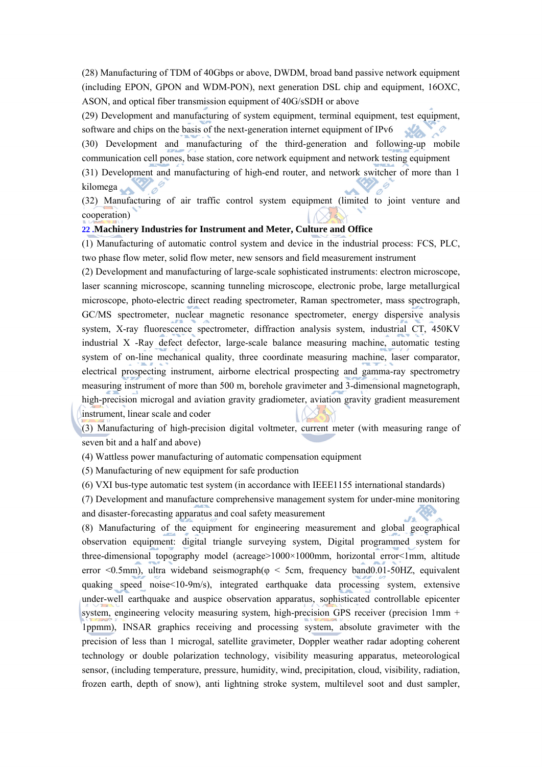(28) Manufacturing of TDM of 40Gbps or above, DWDM, broad band passive network equipment (including EPON, GPON and WDM-PON), next generation DSL chip and equipment, 16OXC, ASON, and optical fiber transmission equipment of 40G/sSDH or above

(29) Development and manufacturing of system equipment, terminal equipment, test equipment, software and chips on the basis of the next-generation internet equipment of IPv6

(30) Development and manufacturing of the third-generation and following-up mobile communication cell pones, base station, core network equipment and network testing equipment

(31) Development and manufacturing of high-end router, and network switcher of more than 1 kilomega

(32) Manufacturing of air traffic control system equipment (limited to joint venture and cooperation)

## **22 .Machinery Industries for Instrument and Meter, Culture and Office**

(1) Manufacturing of automatic control system and device in the industrial process: FCS, PLC, two phase flow meter, solid flow meter, new sensors and field measurement instrument

(2) Development and manufacturing of large-scale sophisticated instruments: electron microscope, laser scanning microscope, scanning tunneling microscope, electronic probe, large metallurgical microscope, photo-electric direct reading spectrometer, Raman spectrometer, mass spectrograph, GC/MS spectrometer, nuclear magnetic resonance spectrometer, energy dispersive analysis system, X-ray fluorescence spectrometer, diffraction analysis system, industrial CT, 450KV industrial X -Ray defect defector, large-scale balance measuring machine, automatic testing system of on-line mechanical quality, three coordinate measuring machine, laser comparator, electrical prospecting instrument, airborne electrical prospecting and gamma-ray spectrometry measuring instrument of more than 500 m, borehole gravimeter and 3-dimensional magnetograph, high-precision microgal and aviation gravity gradiometer, aviation gravity gradient measurement instrument, linear scale and coder

(3) Manufacturing of high-precision digital voltmeter, current meter (with measuring range of seven bit and a half and above)

(4) Wattless power manufacturing of automatic compensation equipment

(5) Manufacturing of new equipment for safe production

(6) VXI bus-type automatic test system (in accordance with IEEE1155 international standards)

(7) Development and manufacture comprehensive management system for under-mine monitoring and disaster-forecasting apparatus and coal safety measurement

(8) Manufacturing of the equipment for engineering measurement and global geographical observation equipment: digital triangle surveying system, Digital programmed system for three-dimensional topography model (acreage>1000×1000mm, horizontal error<1mm, altitude error  $\leq 0.5$ mm), ultra wideband seismograph( $\varphi \leq 5$ cm, frequency band0.01-50HZ, equivalent quaking speed noise<10-9m/s), integrated earthquake data processing system, extensive under-well earthquake and auspice observation apparatus, sophisticated controllable epicenter system, engineering velocity measuring system, high-precision GPS receiver (precision 1mm + 1ppmm), INSAR graphics receiving and processing system, absolute gravimeter with the precision of less than 1 microgal, satellite gravimeter, Doppler weather radar adopting coherent technology or double polarization technology, visibility measuring apparatus, meteorological sensor, (including temperature, pressure, humidity, wind, precipitation, cloud, visibility, radiation, frozen earth, depth of snow), anti lightning stroke system, multilevel soot and dust sampler,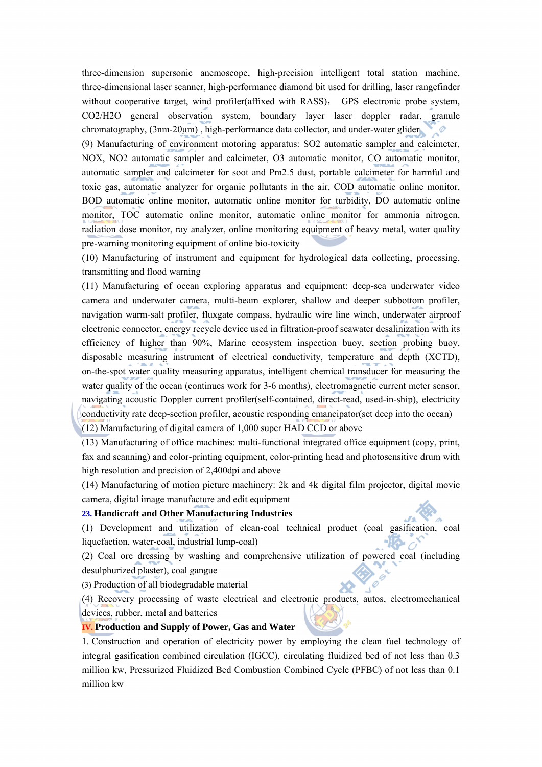three-dimension supersonic anemoscope, high-precision intelligent total station machine, three-dimensional laser scanner, high-performance diamond bit used for drilling, laser rangefinder without cooperative target, wind profiler(affixed with RASS), GPS electronic probe system, CO2/H2O general observation system, boundary layer laser doppler radar, granule chromatography, (3nm-20μm) , high-performance data collector, and under-water glider D

(9) Manufacturing of environment motoring apparatus: SO2 automatic sampler and calcimeter, NOX, NO2 automatic sampler and calcimeter, O3 automatic monitor, CO automatic monitor, automatic sampler and calcimeter for soot and Pm2.5 dust, portable calcimeter for harmful and toxic gas, automatic analyzer for organic pollutants in the air, COD automatic online monitor, BOD automatic online monitor, automatic online monitor for turbidity, DO automatic online monitor, TOC automatic online monitor, automatic online monitor for ammonia nitrogen, radiation dose monitor, ray analyzer, online monitoring equipment of heavy metal, water quality pre-warning monitoring equipment of online bio-toxicity

(10) Manufacturing of instrument and equipment for hydrological data collecting, processing, transmitting and flood warning

(11) Manufacturing of ocean exploring apparatus and equipment: deep-sea underwater video camera and underwater camera, multi-beam explorer, shallow and deeper subbottom profiler, navigation warm-salt profiler, fluxgate compass, hydraulic wire line winch, underwater airproof electronic connector, energy recycle device used in filtration-proof seawater desalinization with its efficiency of higher than 90%, Marine ecosystem inspection buoy, section probing buoy, disposable measuring instrument of electrical conductivity, temperature and depth (XCTD), on-the-spot water quality measuring apparatus, intelligent chemical transducer for measuring the water quality of the ocean (continues work for 3-6 months), electromagnetic current meter sensor, navigating acoustic Doppler current profiler(self-contained, direct-read, used-in-ship), electricity conductivity rate deep-section profiler, acoustic responding emancipator(set deep into the ocean) (12) Manufacturing of digital camera of 1,000 super HAD CCD or above

(13) Manufacturing of office machines: multi-functional integrated office equipment (copy, print, fax and scanning) and color-printing equipment, color-printing head and photosensitive drum with high resolution and precision of 2,400dpi and above

(14) Manufacturing of motion picture machinery: 2k and 4k digital film projector, digital movie camera, digital image manufacture and edit equipment

## **23. Handicraft and Other Manufacturing Industries**

(1) Development and utilization of clean-coal technical product (coal gasification, coal liquefaction, water-coal, industrial lump-coal)

(2) Coal ore dressing by washing and comprehensive utilization of powered coal (including desulphurized plaster), coal gangue

 $\mathscr O$ 

(3) Production of all biodegradable material

(4) Recovery processing of waste electrical and electronic products, autos, electromechanical devices, rubber, metal and batteries

## **IV. Production and Supply of Power, Gas and Water**

1. Construction and operation of electricity power by employing the clean fuel technology of integral gasification combined circulation (IGCC), circulating fluidized bed of not less than 0.3 million kw, Pressurized Fluidized Bed Combustion Combined Cycle (PFBC) of not less than 0.1 million kw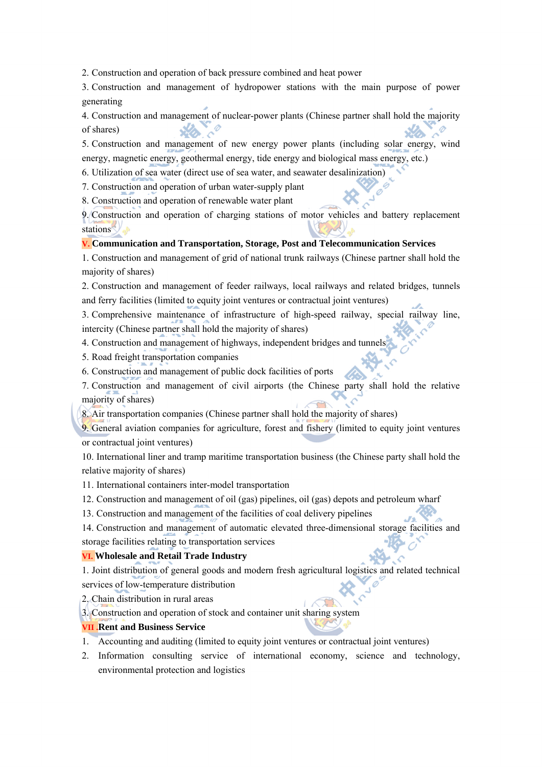2. Construction and operation of back pressure combined and heat power

3. Construction and management of hydropower stations with the main purpose of power generating

4. Construction and management of nuclear-power plants (Chinese partner shall hold the majority of shares)

5. Construction and management of new energy power plants (including solar energy, wind energy, magnetic energy, geothermal energy, tide energy and biological mass energy, etc.)

6. Utilization of sea water (direct use of sea water, and seawater desalinization)

7. Construction and operation of urban water-supply plant

8. Construction and operation of renewable water plant

9. Construction and operation of charging stations of motor vehicles and battery replacement stations

Ø

## **V. Communication and Transportation, Storage, Post and Telecommunication Services**

1. Construction and management of grid of national trunk railways (Chinese partner shall hold the majority of shares)

2. Construction and management of feeder railways, local railways and related bridges, tunnels and ferry facilities (limited to equity joint ventures or contractual joint ventures)

3. Comprehensive maintenance of infrastructure of high-speed railway, special railway line, intercity (Chinese partner shall hold the majority of shares)

4. Construction and management of highways, independent bridges and tunnels

5. Road freight transportation companies

6. Construction and management of public dock facilities of ports

7. Construction and management of civil airports (the Chinese party shall hold the relative majority of shares)

8. Air transportation companies (Chinese partner shall hold the majority of shares)

9. General aviation companies for agriculture, forest and fishery (limited to equity joint ventures or contractual joint ventures)

10. International liner and tramp maritime transportation business (the Chinese party shall hold the relative majority of shares)

11. International containers inter-model transportation

12. Construction and management of oil (gas) pipelines, oil (gas) depots and petroleum wharf

13. Construction and management of the facilities of coal delivery pipelines

14. Construction and management of automatic elevated three-dimensional storage facilities and storage facilities relating to transportation services

## **VI. Wholesale and Retail Trade Industry**

1. Joint distribution of general goods and modern fresh agricultural logistics and related technical services of low-temperature distribution

2. Chain distribution in rural areas

3. Construction and operation of stock and container unit sharing system

## **VII .Rent and Business Service**

- 1. Accounting and auditing (limited to equity joint ventures or contractual joint ventures)
- 2. Information consulting service of international economy, science and technology, environmental protection and logistics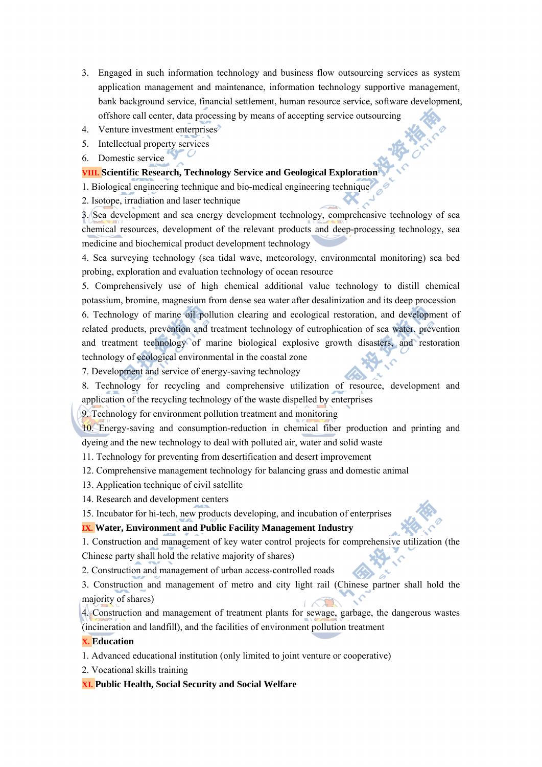- 3. Engaged in such information technology and business flow outsourcing services as system application management and maintenance, information technology supportive management, bank background service, financial settlement, human resource service, software development, offshore call center, data processing by means of accepting service outsourcing
- 4. Venture investment enterprises
- 5. Intellectual property services
- 6. Domestic service

## **VIII. Scientific Research, Technology Service and Geological Exploration**

- 1. Biological engineering technique and bio-medical engineering technique
- 2. Isotope, irradiation and laser technique

3. Sea development and sea energy development technology, comprehensive technology of sea chemical resources, development of the relevant products and deep-processing technology, sea medicine and biochemical product development technology

4. Sea surveying technology (sea tidal wave, meteorology, environmental monitoring) sea bed probing, exploration and evaluation technology of ocean resource

5. Comprehensively use of high chemical additional value technology to distill chemical potassium, bromine, magnesium from dense sea water after desalinization and its deep procession 6. Technology of marine oil pollution clearing and ecological restoration, and development of related products, prevention and treatment technology of eutrophication of sea water, prevention and treatment technology of marine biological explosive growth disasters, and restoration technology of ecological environmental in the coastal zone

7. Development and service of energy-saving technology

8. Technology for recycling and comprehensive utilization of resource, development and application of the recycling technology of the waste dispelled by enterprises

9. Technology for environment pollution treatment and monitoring

10. Energy-saving and consumption-reduction in chemical fiber production and printing and dyeing and the new technology to deal with polluted air, water and solid waste

- 11. Technology for preventing from desertification and desert improvement
- 12. Comprehensive management technology for balancing grass and domestic animal
- 13. Application technique of civil satellite
- 14. Research and development centers

15. Incubator for hi-tech, new products developing, and incubation of enterprises

## **IX. Water, Environment and Public Facility Management Industry**

1. Construction and management of key water control projects for comprehensive utilization (the Chinese party shall hold the relative majority of shares)

2. Construction and management of urban access-controlled roads

3. Construction and management of metro and city light rail (Chinese partner shall hold the majority of shares) **Contract** 

4. Construction and management of treatment plants for sewage, garbage, the dangerous wastes (incineration and landfill), and the facilities of environment pollution treatment

#### **X. Education**

- 1. Advanced educational institution (only limited to joint venture or cooperative)
- 2. Vocational skills training

**XI. Public Health, Social Security and Social Welfare**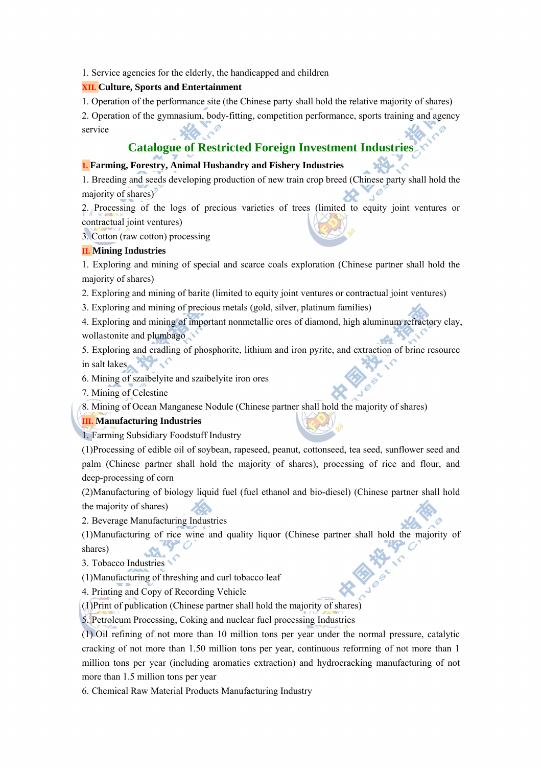1. Service agencies for the elderly, the handicapped and children

## **XII. Culture, Sports and Entertainment**

1. Operation of the performance site (the Chinese party shall hold the relative majority of shares)

2. Operation of the gymnasium, body-fitting, competition performance, sports training and agency service

# **Catalogue of Restricted Foreign Investment Industries**

## **1. Farming, Forestry, Animal Husbandry and Fishery Industries**

1. Breeding and seeds developing production of new train crop breed (Chinese party shall hold the Ó majority of shares)

2. Processing of the logs of precious varieties of trees (limited to equity joint ventures or contractual joint ventures)

3. Cotton (raw cotton) processing

## **II. Mining Industries**

1. Exploring and mining of special and scarce coals exploration (Chinese partner shall hold the majority of shares)

2. Exploring and mining of barite (limited to equity joint ventures or contractual joint ventures)

3. Exploring and mining of precious metals (gold, silver, platinum families)

4. Exploring and mining of important nonmetallic ores of diamond, high aluminum refractory clay, wollastonite and plumbago

5. Exploring and cradling of phosphorite, lithium and iron pyrite, and extraction of brine resource in salt lakes

6. Mining of szaibelyite and szaibelyite iron ores

7. Mining of Celestine

8. Mining of Ocean Manganese Nodule (Chinese partner shall hold the majority of shares)

## **III. Manufacturing Industries**

1. Farming Subsidiary Foodstuff Industry

(1)Processing of edible oil of soybean, rapeseed, peanut, cottonseed, tea seed, sunflower seed and palm (Chinese partner shall hold the majority of shares), processing of rice and flour, and deep-processing of corn

(2)Manufacturing of biology liquid fuel (fuel ethanol and bio-diesel) (Chinese partner shall hold the majority of shares)

2. Beverage Manufacturing Industries

(1)Manufacturing of rice wine and quality liquor (Chinese partner shall hold the majority of shares)

3. Tobacco Industries

(1)Manufacturing of threshing and curl tobacco leaf

4. Printing and Copy of Recording Vehicle

(1)Print of publication (Chinese partner shall hold the majority of shares)

5. Petroleum Processing, Coking and nuclear fuel processing Industries

(1) Oil refining of not more than 10 million tons per year under the normal pressure, catalytic cracking of not more than 1.50 million tons per year, continuous reforming of not more than 1 million tons per year (including aromatics extraction) and hydrocracking manufacturing of not more than 1.5 million tons per year

6. Chemical Raw Material Products Manufacturing Industry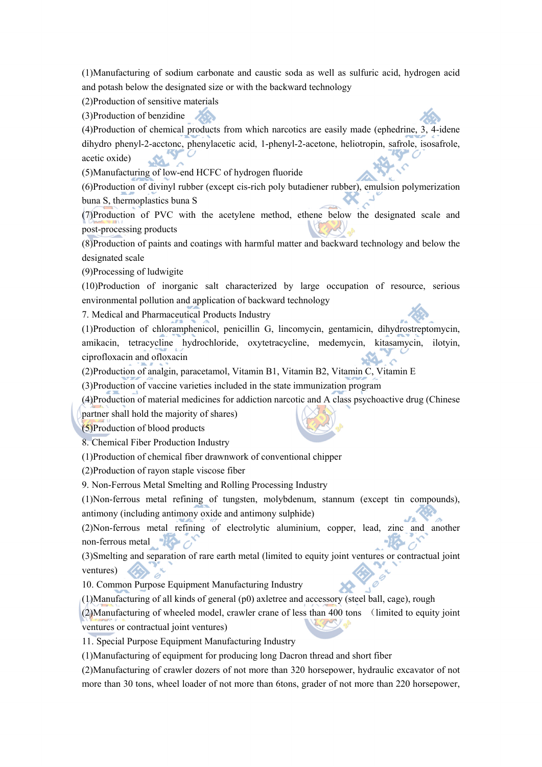(1)Manufacturing of sodium carbonate and caustic soda as well as sulfuric acid, hydrogen acid and potash below the designated size or with the backward technology

(2)Production of sensitive materials

(3)Production of benzidine

(4)Production of chemical products from which narcotics are easily made (ephedrine, 3, 4-idene dihydro phenyl-2-acctonc, phenylacetic acid, 1-phenyl-2-acetone, heliotropin, safrole, isosafrole, acetic oxide)

(5)Manufacturing of low-end HCFC of hydrogen fluoride

(6)Production of divinyl rubber (except cis-rich poly butadiener rubber), emulsion polymerization buna S, thermoplastics buna S

(7)Production of PVC with the acetylene method, ethene below the designated scale and post-processing products

(8)Production of paints and coatings with harmful matter and backward technology and below the designated scale

(9)Processing of ludwigite

(10)Production of inorganic salt characterized by large occupation of resource, serious environmental pollution and application of backward technology

7. Medical and Pharmaceutical Products Industry

(1)Production of chloramphenicol, penicillin G, lincomycin, gentamicin, dihydrostreptomycin, amikacin, tetracycline hydrochloride, oxytetracycline, medemycin, kitasamycin, ilotyin, ciprofloxacin and ofloxacin

(2)Production of analgin, paracetamol, Vitamin B1, Vitamin B2, Vitamin C, Vitamin E

(3)Production of vaccine varieties included in the state immunization program

(4)Production of material medicines for addiction narcotic and A class psychoactive drug (Chinese

partner shall hold the majority of shares)

(5)Production of blood products

8. Chemical Fiber Production Industry

(1)Production of chemical fiber drawnwork of conventional chipper

(2)Production of rayon staple viscose fiber

9. Non-Ferrous Metal Smelting and Rolling Processing Industry

(1)Non-ferrous metal refining of tungsten, molybdenum, stannum (except tin compounds), antimony (including antimony oxide and antimony sulphide)

(2)Non-ferrous metal refining of electrolytic aluminium, copper, lead, zinc and another non-ferrous metal  $\sqrt{2}$ 

(3)Smelting and separation of rare earth metal (limited to equity joint ventures or contractual joint ventures)

10. Common Purpose Equipment Manufacturing Industry

(1)Manufacturing of all kinds of general (p0) axletree and accessory (steel ball, cage), rough

(2)Manufacturing of wheeled model, crawler crane of less than 400 tons (limited to equity joint ventures or contractual joint ventures)

11. Special Purpose Equipment Manufacturing Industry

(1)Manufacturing of equipment for producing long Dacron thread and short fiber

(2)Manufacturing of crawler dozers of not more than 320 horsepower, hydraulic excavator of not more than 30 tons, wheel loader of not more than 6tons, grader of not more than 220 horsepower,



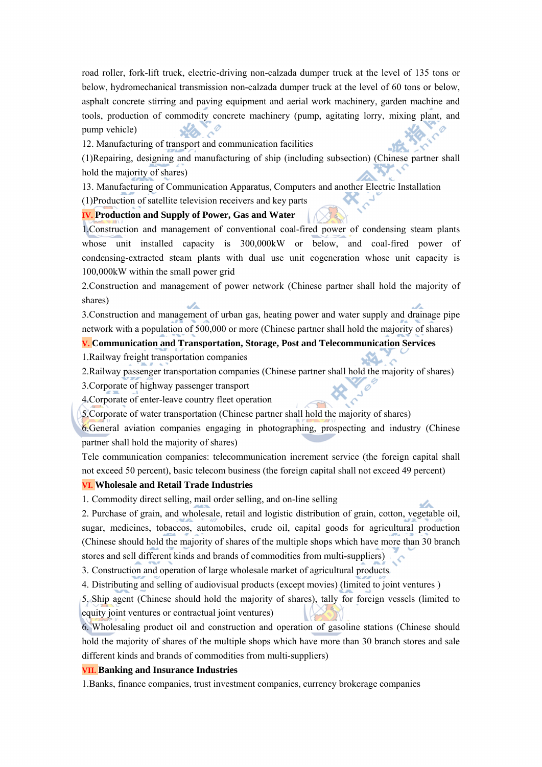road roller, fork-lift truck, electric-driving non-calzada dumper truck at the level of 135 tons or below, hydromechanical transmission non-calzada dumper truck at the level of 60 tons or below, asphalt concrete stirring and paving equipment and aerial work machinery, garden machine and tools, production of commodity concrete machinery (pump, agitating lorry, mixing plant, and pump vehicle)

12. Manufacturing of transport and communication facilities

(1)Repairing, designing and manufacturing of ship (including subsection) (Chinese partner shall hold the majority of shares)

13. Manufacturing of Communication Apparatus, Computers and another Electric Installation (1)Production of satellite television receivers and key parts

## **IV. Production and Supply of Power, Gas and Water**

1.Construction and management of conventional coal-fired power of condensing steam plants whose unit installed capacity is 300,000kW or below, and coal-fired power of condensing-extracted steam plants with dual use unit cogeneration whose unit capacity is 100,000kW within the small power grid

2.Construction and management of power network (Chinese partner shall hold the majority of shares)

3.Construction and management of urban gas, heating power and water supply and drainage pipe network with a population of 500,000 or more (Chinese partner shall hold the majority of shares)

## **V. Communication and Transportation, Storage, Post and Telecommunication Services**

1.Railway freight transportation companies

2.Railway passenger transportation companies (Chinese partner shall hold the majority of shares)

3.Corporate of highway passenger transport

4.Corporate of enter-leave country fleet operation

5.Corporate of water transportation (Chinese partner shall hold the majority of shares)

6.General aviation companies engaging in photographing, prospecting and industry (Chinese partner shall hold the majority of shares)

Tele communication companies: telecommunication increment service (the foreign capital shall not exceed 50 percent), basic telecom business (the foreign capital shall not exceed 49 percent)

#### **VI. Wholesale and Retail Trade Industries**

1. Commodity direct selling, mail order selling, and on-line selling

2. Purchase of grain, and wholesale, retail and logistic distribution of grain, cotton, vegetable oil, sugar, medicines, tobaccos, automobiles, crude oil, capital goods for agricultural production (Chinese should hold the majority of shares of the multiple shops which have more than 30 branch stores and sell different kinds and brands of commodities from multi-suppliers)

3. Construction and operation of large wholesale market of agricultural products

4. Distributing and selling of audiovisual products (except movies) (limited to joint ventures )

5. Ship agent (Chinese should hold the majority of shares), tally for foreign vessels (limited to equity joint ventures or contractual joint ventures)

6. Wholesaling product oil and construction and operation of gasoline stations (Chinese should hold the majority of shares of the multiple shops which have more than 30 branch stores and sale different kinds and brands of commodities from multi-suppliers)

#### **VII. Banking and Insurance Industries**

1.Banks, finance companies, trust investment companies, currency brokerage companies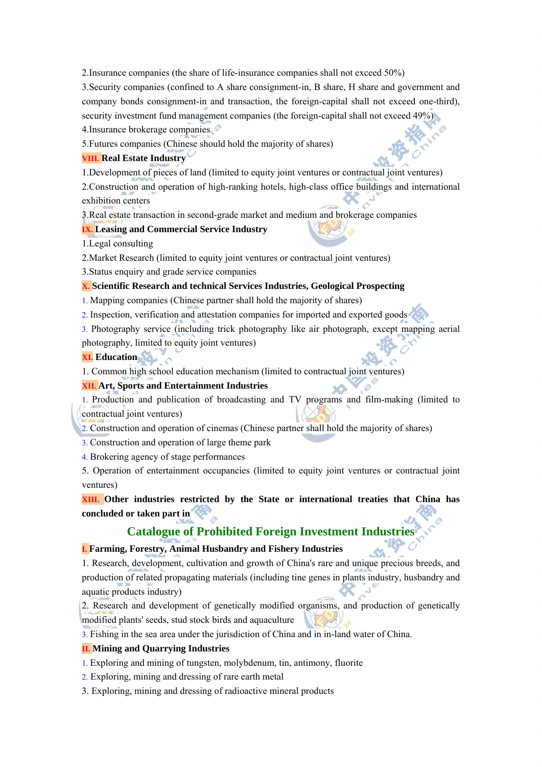2.Insurance companies (the share of life-insurance companies shall not exceed 50%)

3.Security companies (confined to A share consignment-in, B share, H share and government and company bonds consignment-in and transaction, the foreign-capital shall not exceed one-third), security investment fund management companies (the foreign-capital shall not exceed 49%)

4.Insurance brokerage companies

5.Futures companies (Chinese should hold the majority of shares)

## **VIII. Real Estate Industry**

1.Development of pieces of land (limited to equity joint ventures or contractual joint ventures)

2.Construction and operation of high-ranking hotels, high-class office buildings and international exhibition centers

3.Real estate transaction in second-grade market and medium and brokerage companies

## **IX. Leasing and Commercial Service Industry**

1.Legal consulting

2.Market Research (limited to equity joint ventures or contractual joint ventures)

3.Status enquiry and grade service companies

## **X. Scientific Research and technical Services Industries, Geological Prospecting**

- 1. Mapping companies (Chinese partner shall hold the majority of shares)
- 2. Inspection, verification and attestation companies for imported and exported goods

3. Photography service (including trick photography like air photograph, except mapping aerial photography, limited to equity joint ventures)

## **XI. Education**

1. Common high school education mechanism (limited to contractual joint ventures)

## **XII. Art, Sports and Entertainment Industries**

1. Production and publication of broadcasting and TV programs and film-making (limited to contractual joint ventures)

2. Construction and operation of cinemas (Chinese partner shall hold the majority of shares)

3. Construction and operation of large theme park

4. Brokering agency of stage performances

5. Operation of entertainment occupancies (limited to equity joint ventures or contractual joint ventures)

**XIII. Other industries restricted by the State or international treaties that China has concluded or taken part in** 

## **Catalogue of Prohibited Foreign Investment Industries**

## **I. Farming, Forestry, Animal Husbandry and Fishery Industries**

1. Research, development, cultivation and growth of China's rare and unique precious breeds, and production of related propagating materials (including tine genes in plants industry, husbandry and aquatic products industry)

2. Research and development of genetically modified organisms, and production of genetically modified plants' seeds, stud stock birds and aquaculture

3. Fishing in the sea area under the jurisdiction of China and in in-land water of China.

## **II. Mining and Quarrying Industries**

- 1. Exploring and mining of tungsten, molybdenum, tin, antimony, fluorite
- 2. Exploring, mining and dressing of rare earth metal
- 3. Exploring, mining and dressing of radioactive mineral products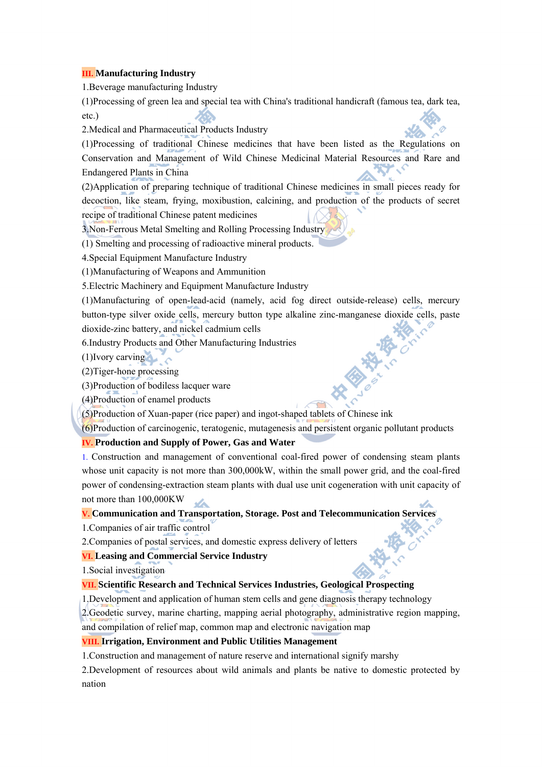## **III. Manufacturing Industry**

1.Beverage manufacturing Industry

(1)Processing of green lea and special tea with China's traditional handicraft (famous tea, dark tea, etc.)

2.Medical and Pharmaceutical Products Industry

(1)Processing of traditional Chinese medicines that have been listed as the Regulations on Conservation and Management of Wild Chinese Medicinal Material Resources and Rare and Endangered Plants in China

(2)Application of preparing technique of traditional Chinese medicines in small pieces ready for decoction, like steam, frying, moxibustion, calcining, and production of the products of secret recipe of traditional Chinese patent medicines

3.Non-Ferrous Metal Smelting and Rolling Processing Industry

(1) Smelting and processing of radioactive mineral products.

4.Special Equipment Manufacture Industry

(1)Manufacturing of Weapons and Ammunition

5.Electric Machinery and Equipment Manufacture Industry

(1)Manufacturing of open-lead-acid (namely, acid fog direct outside-release) cells, mercury button-type silver oxide cells, mercury button type alkaline zinc-manganese dioxide cells, paste dioxide-zinc battery, and nickel cadmium cells

6.Industry Products and Other Manufacturing Industries

(1)Ivory carving

(2)Tiger-hone processing

(3)Production of bodiless lacquer ware

(4)Production of enamel products

(5)Production of Xuan-paper (rice paper) and ingot-shaped tablets of Chinese ink

(6)Production of carcinogenic, teratogenic, mutagenesis and persistent organic pollutant products

**IV. Production and Supply of Power, Gas and Water** 

1. Construction and management of conventional coal-fired power of condensing steam plants whose unit capacity is not more than 300,000kW, within the small power grid, and the coal-fired power of condensing-extraction steam plants with dual use unit cogeneration with unit capacity of not more than 100,000KW str.

## **V. Communication and Transportation, Storage. Post and Telecommunication Services**

1.Companies of air traffic control

2.Companies of postal services, and domestic express delivery of letters

## **VI. Leasing and Commercial Service Industry**

1.Social investigation

## **VII. Scientific Research and Technical Services Industries, Geological Prospecting**

1.Development and application of human stem cells and gene diagnosis therapy technology

2.Geodetic survey, marine charting, mapping aerial photography, administrative region mapping,

and compilation of relief map, common map and electronic navigation map

#### **VIII. Irrigation, Environment and Public Utilities Management**

1.Construction and management of nature reserve and international signify marshy

2.Development of resources about wild animals and plants be native to domestic protected by nation